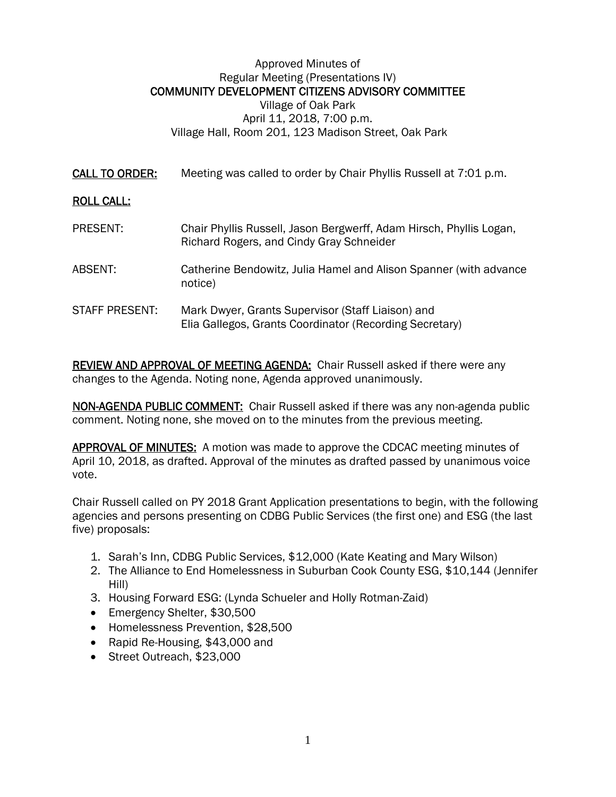## Approved Minutes of Regular Meeting (Presentations IV) COMMUNITY DEVELOPMENT CITIZENS ADVISORY COMMITTEE Village of Oak Park April 11, 2018, 7:00 p.m. Village Hall, Room 201, 123 Madison Street, Oak Park

CALL TO ORDER: Meeting was called to order by Chair Phyllis Russell at 7:01 p.m.

## ROLL CALL:

PRESENT: Chair Phyllis Russell, Jason Bergwerff, Adam Hirsch, Phyllis Logan, Richard Rogers, and Cindy Gray Schneider ABSENT: Catherine Bendowitz, Julia Hamel and Alison Spanner (with advance notice) STAFF PRESENT: Mark Dwyer, Grants Supervisor (Staff Liaison) and Elia Gallegos, Grants Coordinator (Recording Secretary)

REVIEW AND APPROVAL OF MEETING AGENDA: Chair Russell asked if there were any changes to the Agenda. Noting none, Agenda approved unanimously.

NON-AGENDA PUBLIC COMMENT: Chair Russell asked if there was any non-agenda public comment. Noting none, she moved on to the minutes from the previous meeting.

APPROVAL OF MINUTES: A motion was made to approve the CDCAC meeting minutes of April 10, 2018, as drafted. Approval of the minutes as drafted passed by unanimous voice vote.

Chair Russell called on PY 2018 Grant Application presentations to begin, with the following agencies and persons presenting on CDBG Public Services (the first one) and ESG (the last five) proposals:

- 1. Sarah's Inn, CDBG Public Services, \$12,000 (Kate Keating and Mary Wilson)
- 2. The Alliance to End Homelessness in Suburban Cook County ESG, \$10,144 (Jennifer Hill)
- 3. Housing Forward ESG: (Lynda Schueler and Holly Rotman-Zaid)
- Emergency Shelter, \$30,500
- Homelessness Prevention, \$28,500
- Rapid Re-Housing, \$43,000 and
- Street Outreach, \$23,000